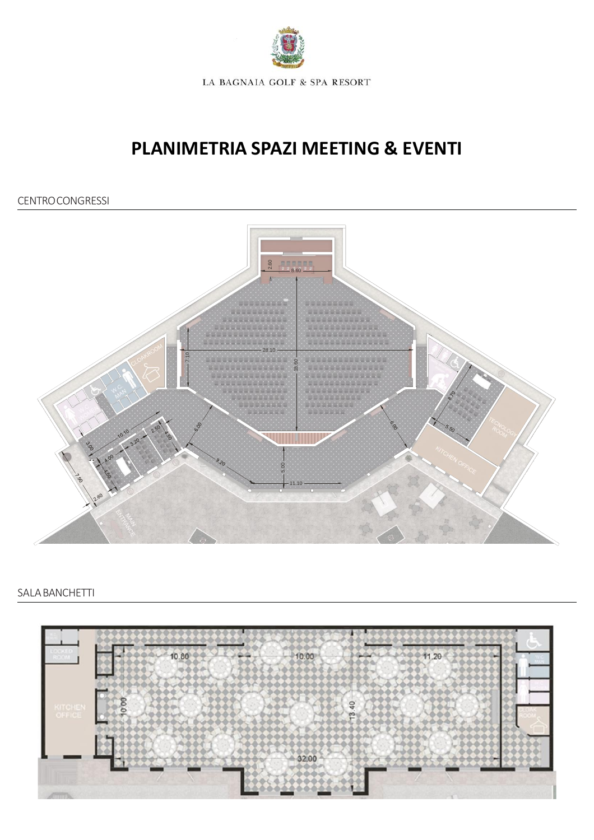

## **PLANIMETRIA SPAZI MEETING & EVENTI**

## CENTROCONGRESSI



## SALABANCHETTI